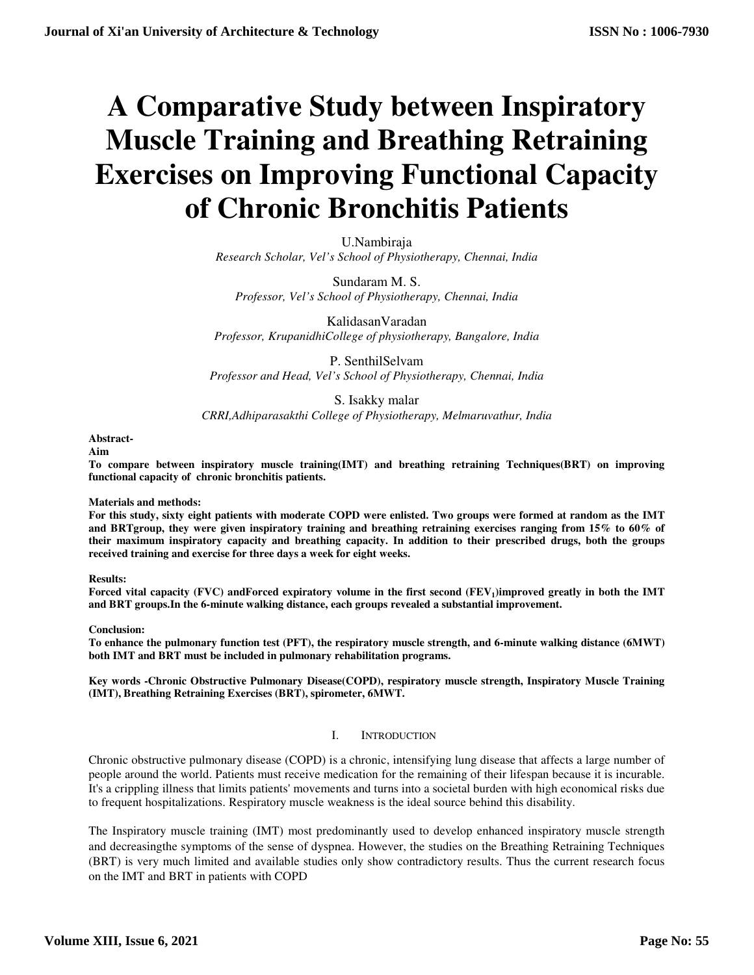# **A Comparative Study between Inspiratory Muscle Training and Breathing Retraining Exercises on Improving Functional Capacity of Chronic Bronchitis Patients**

U.Nambiraja *Research Scholar, Vel's School of Physiotherapy, Chennai, India* 

Sundaram M. S. *Professor, Vel's School of Physiotherapy, Chennai, India* 

KalidasanVaradan *Professor, KrupanidhiCollege of physiotherapy, Bangalore, India* 

P. SenthilSelvam *Professor and Head, Vel's School of Physiotherapy, Chennai, India* 

# S. Isakky malar

*CRRI,Adhiparasakthi College of Physiotherapy, Melmaruvathur, India* 

# **Abstract-**

**Aim** 

**To compare between inspiratory muscle training(IMT) and breathing retraining Techniques(BRT) on improving functional capacity of chronic bronchitis patients.** 

# **Materials and methods:**

**For this study, sixty eight patients with moderate COPD were enlisted. Two groups were formed at random as the IMT and BRTgroup, they were given inspiratory training and breathing retraining exercises ranging from 15% to 60% of their maximum inspiratory capacity and breathing capacity. In addition to their prescribed drugs, both the groups received training and exercise for three days a week for eight weeks.** 

**Results:** 

**Forced vital capacity (FVC) andForced expiratory volume in the first second (FEV<sup>1</sup> )improved greatly in both the IMT and BRT groups.In the 6-minute walking distance, each groups revealed a substantial improvement.** 

# **Conclusion:**

**To enhance the pulmonary function test (PFT), the respiratory muscle strength, and 6-minute walking distance (6MWT) both IMT and BRT must be included in pulmonary rehabilitation programs.** 

**Key words -Chronic Obstructive Pulmonary Disease(COPD), respiratory muscle strength, Inspiratory Muscle Training (IMT), Breathing Retraining Exercises (BRT), spirometer, 6MWT.** 

# I. INTRODUCTION

Chronic obstructive pulmonary disease (COPD) is a chronic, intensifying lung disease that affects a large number of people around the world. Patients must receive medication for the remaining of their lifespan because it is incurable. It's a crippling illness that limits patients' movements and turns into a societal burden with high economical risks due to frequent hospitalizations. Respiratory muscle weakness is the ideal source behind this disability.

The Inspiratory muscle training (IMT) most predominantly used to develop enhanced inspiratory muscle strength and decreasingthe symptoms of the sense of dyspnea. However, the studies on the Breathing Retraining Techniques (BRT) is very much limited and available studies only show contradictory results. Thus the current research focus on the IMT and BRT in patients with COPD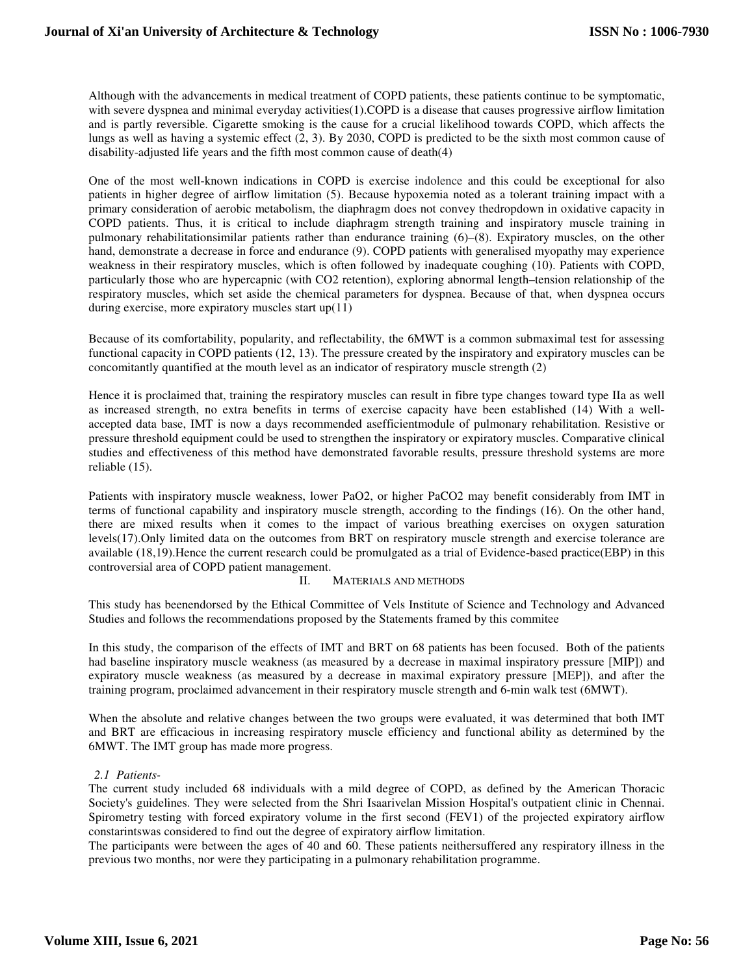Although with the advancements in medical treatment of COPD patients, these patients continue to be symptomatic, with severe dyspnea and minimal everyday activities(1).COPD is a disease that causes progressive airflow limitation and is partly reversible. Cigarette smoking is the cause for a crucial likelihood towards COPD, which affects the lungs as well as having a systemic effect (2, 3). By 2030, COPD is predicted to be the sixth most common cause of disability-adjusted life years and the fifth most common cause of death(4)

One of the most well-known indications in COPD is exercise indolence and this could be exceptional for also patients in higher degree of airflow limitation (5). Because hypoxemia noted as a tolerant training impact with a primary consideration of aerobic metabolism, the diaphragm does not convey thedropdown in oxidative capacity in COPD patients. Thus, it is critical to include diaphragm strength training and inspiratory muscle training in pulmonary rehabilitationsimilar patients rather than endurance training (6)–(8). Expiratory muscles, on the other hand, demonstrate a decrease in force and endurance (9). COPD patients with generalised myopathy may experience weakness in their respiratory muscles, which is often followed by inadequate coughing (10). Patients with COPD, particularly those who are hypercapnic (with CO2 retention), exploring abnormal length–tension relationship of the respiratory muscles, which set aside the chemical parameters for dyspnea. Because of that, when dyspnea occurs during exercise, more expiratory muscles start up(11)

Because of its comfortability, popularity, and reflectability, the 6MWT is a common submaximal test for assessing functional capacity in COPD patients (12, 13). The pressure created by the inspiratory and expiratory muscles can be concomitantly quantified at the mouth level as an indicator of respiratory muscle strength (2)

Hence it is proclaimed that, training the respiratory muscles can result in fibre type changes toward type IIa as well as increased strength, no extra benefits in terms of exercise capacity have been established (14) With a wellaccepted data base, IMT is now a days recommended asefficientmodule of pulmonary rehabilitation. Resistive or pressure threshold equipment could be used to strengthen the inspiratory or expiratory muscles. Comparative clinical studies and effectiveness of this method have demonstrated favorable results, pressure threshold systems are more reliable (15).

Patients with inspiratory muscle weakness, lower PaO2, or higher PaCO2 may benefit considerably from IMT in terms of functional capability and inspiratory muscle strength, according to the findings (16). On the other hand, there are mixed results when it comes to the impact of various breathing exercises on oxygen saturation levels(17).Only limited data on the outcomes from BRT on respiratory muscle strength and exercise tolerance are available (18,19).Hence the current research could be promulgated as a trial of Evidence-based practice(EBP) in this controversial area of COPD patient management.

# II. MATERIALS AND METHODS

This study has beenendorsed by the Ethical Committee of Vels Institute of Science and Technology and Advanced Studies and follows the recommendations proposed by the Statements framed by this commitee

In this study, the comparison of the effects of IMT and BRT on 68 patients has been focused. Both of the patients had baseline inspiratory muscle weakness (as measured by a decrease in maximal inspiratory pressure [MIP]) and expiratory muscle weakness (as measured by a decrease in maximal expiratory pressure [MEP]), and after the training program, proclaimed advancement in their respiratory muscle strength and 6-min walk test (6MWT).

When the absolute and relative changes between the two groups were evaluated, it was determined that both IMT and BRT are efficacious in increasing respiratory muscle efficiency and functional ability as determined by the 6MWT. The IMT group has made more progress.

# *2.1 Patients-*

The current study included 68 individuals with a mild degree of COPD, as defined by the American Thoracic Society's guidelines. They were selected from the Shri Isaarivelan Mission Hospital's outpatient clinic in Chennai. Spirometry testing with forced expiratory volume in the first second (FEV1) of the projected expiratory airflow constarintswas considered to find out the degree of expiratory airflow limitation.

The participants were between the ages of 40 and 60. These patients neithersuffered any respiratory illness in the previous two months, nor were they participating in a pulmonary rehabilitation programme.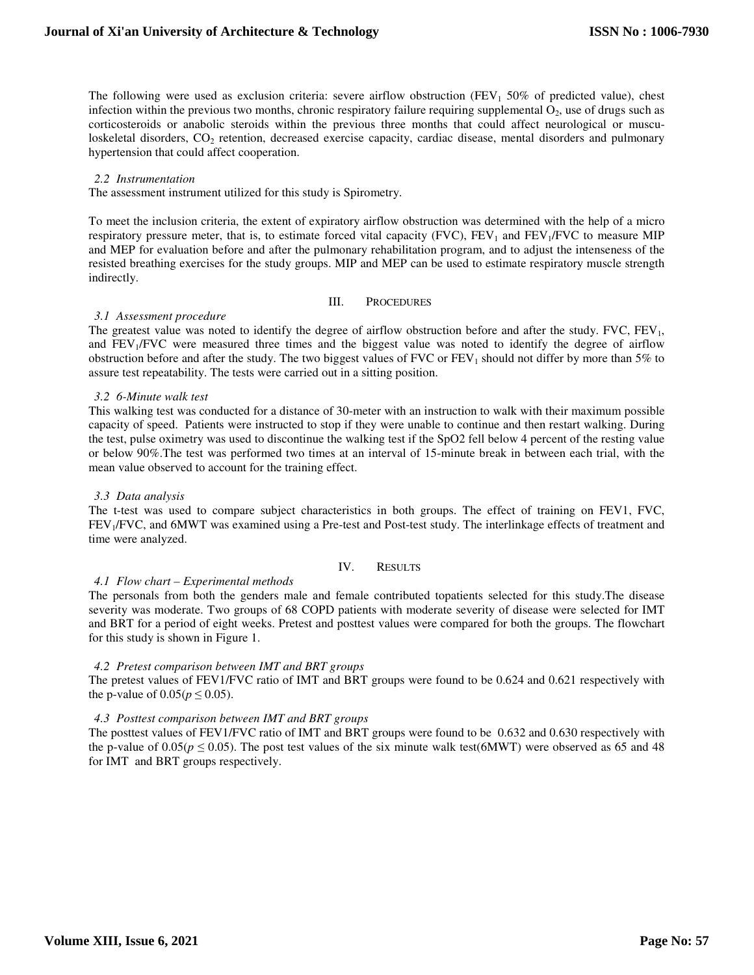The following were used as exclusion criteria: severe airflow obstruction (FEV<sub>1</sub> 50% of predicted value), chest infection within the previous two months, chronic respiratory failure requiring supplemental  $O_2$ , use of drugs such as corticosteroids or anabolic steroids within the previous three months that could affect neurological or musculoskeletal disorders, CO<sub>2</sub> retention, decreased exercise capacity, cardiac disease, mental disorders and pulmonary hypertension that could affect cooperation.

#### *2.2 Instrumentation*

The assessment instrument utilized for this study is Spirometry.

To meet the inclusion criteria, the extent of expiratory airflow obstruction was determined with the help of a micro respiratory pressure meter, that is, to estimate forced vital capacity (FVC), FEV<sub>1</sub> and FEV<sub>1</sub>/FVC to measure MIP and MEP for evaluation before and after the pulmonary rehabilitation program, and to adjust the intenseness of the resisted breathing exercises for the study groups. MIP and MEP can be used to estimate respiratory muscle strength indirectly.

#### III. PROCEDURES

#### *3.1 Assessment procedure*

The greatest value was noted to identify the degree of airflow obstruction before and after the study. FVC, FEV<sub>1</sub>, and  $FEV<sub>1</sub>/FVC$  were measured three times and the biggest value was noted to identify the degree of airflow obstruction before and after the study. The two biggest values of FVC or  $FEV<sub>1</sub>$  should not differ by more than 5% to assure test repeatability. The tests were carried out in a sitting position.

#### *3.2 6-Minute walk test*

This walking test was conducted for a distance of 30-meter with an instruction to walk with their maximum possible capacity of speed. Patients were instructed to stop if they were unable to continue and then restart walking. During the test, pulse oximetry was used to discontinue the walking test if the SpO2 fell below 4 percent of the resting value or below 90%.The test was performed two times at an interval of 15-minute break in between each trial, with the mean value observed to account for the training effect.

# *3.3 Data analysis*

The t-test was used to compare subject characteristics in both groups. The effect of training on FEV1, FVC, FEV<sub>1</sub>/FVC, and 6MWT was examined using a Pre-test and Post-test study. The interlinkage effects of treatment and time were analyzed.

# IV. RESULTS

# *4.1 Flow chart – Experimental methods*

The personals from both the genders male and female contributed topatients selected for this study.The disease severity was moderate. Two groups of 68 COPD patients with moderate severity of disease were selected for IMT and BRT for a period of eight weeks. Pretest and posttest values were compared for both the groups. The flowchart for this study is shown in Figure 1.

# *4.2 Pretest comparison between IMT and BRT groups*

The pretest values of FEV1/FVC ratio of IMT and BRT groups were found to be 0.624 and 0.621 respectively with the p-value of  $0.05(p \le 0.05)$ .

# *4.3 Posttest comparison between IMT and BRT groups*

The posttest values of FEV1/FVC ratio of IMT and BRT groups were found to be 0.632 and 0.630 respectively with the p-value of 0.05( $p \le 0.05$ ). The post test values of the six minute walk test(6MWT) were observed as 65 and 48 for IMT and BRT groups respectively.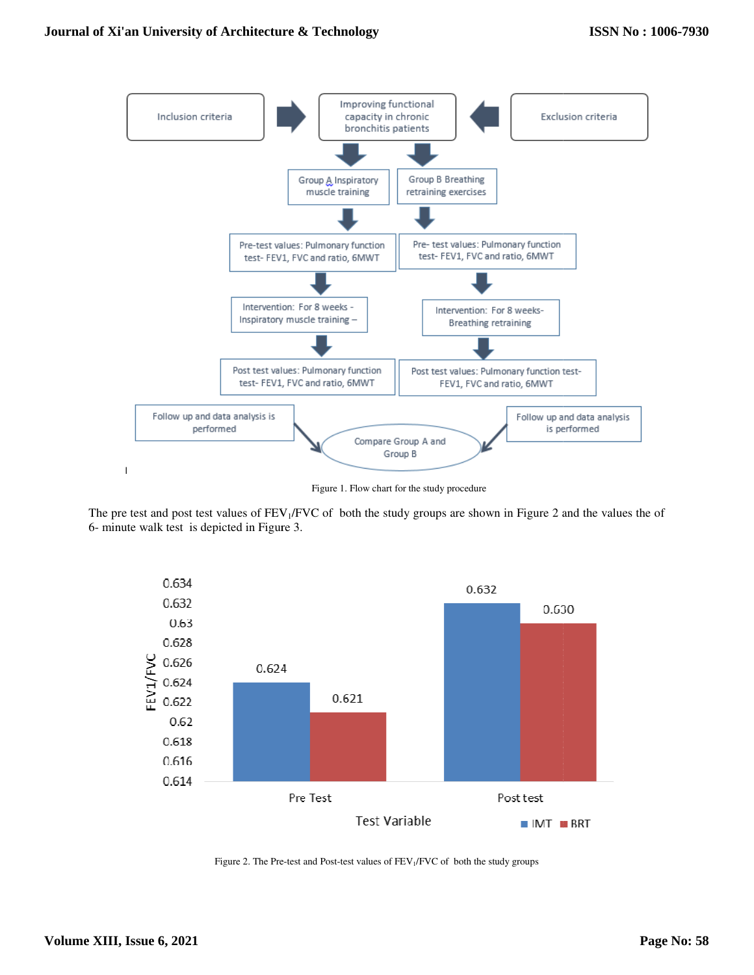

Figure 1. Flow chart for the study procedure

The pre test and post test values of  $FEV_1/FVC$  of both the study groups are shown in Figure 2 and the values the of 6- minute walk test is depicted in Figure 3.



Figure 2. The Pre-test and Post-test values of FEV<sub>1</sub>/FVC of both the study groups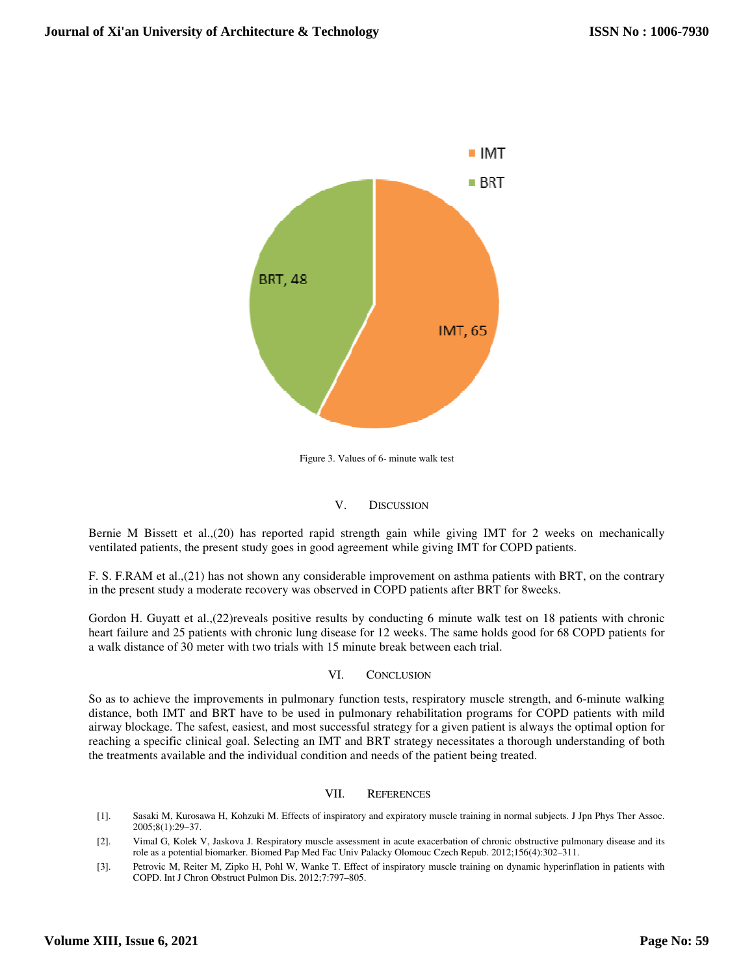

Figure 3. Values of 6- minute walk test

# V. DISCUSSION

Bernie M Bissett et al., (20) has reported rapid strength gain while giving IMT for 2 weeks on mechanically ventilated patients, the present study goes in good agreement while giving IMT for COPD patients.

F. S. F.RAM et al.,(21) has not shown any considerable improvement on asthma patients with BRT, on the contrary in the present study a moderate recovery was observed in COPD patients after BRT for 8weeks.

Gordon H. Guyatt et al., (22) reveals positive results by conducting 6 minute walk test on 18 patients with chronic heart failure and 25 patients with chronic lung disease for 12 weeks. The same holds good for 68 COPD patients for a walk distance of 30 meter with two trials with 15 minute break between each trial.

# VI. CONCLUSION

So as to achieve the improvements in pulmonary function tests, respiratory muscle strength, and 6-minute walking So as to achieve the improvements in pulmonary function tests, respiratory muscle strength, and 6-minute walking<br>distance, both IMT and BRT have to be used in pulmonary rehabilitation programs for COPD patients with mild airway blockage. The safest, easiest, and most successful strategy for a given patient is always the optimal option for reaching a specific clinical goal. Selecting an IMT and BRT strategy necessitates a thorough understanding of both the treatments available and the individual condition and needs of the patient being treated.

# VII. REFERENCES

- [1]. Sasaki M, Kurosawa H, Kohzuki M. Effects of inspiratory and expiratory muscle training in normal subjects. J Jpn Phys Ther Assoc. 2005;8(1):29–37.
- [2]. Vimal G, Kolek V, Jaskova J. Respiratory muscle assessment in acute exacerbation of chronic obstructive pulmonary disease and its Vimal G, Kolek V, Jaskova J. Respiratory muscle assessment in acute exacerbation of chronic obstructive pulmonary disease and<br>role as a potential biomarker. Biomed Pap Med Fac Univ Palacky Olomouc Czech Repub. 2012;156(4):
- [3]. Petrovic M, Reiter M, Zipko H, Pohl W, Wanke T. Effect of inspiratory muscle training on dynamic hyperinflation in patients with COPD. Int J Chron Obstruct Pulmon Dis. 2012;7:797-805.